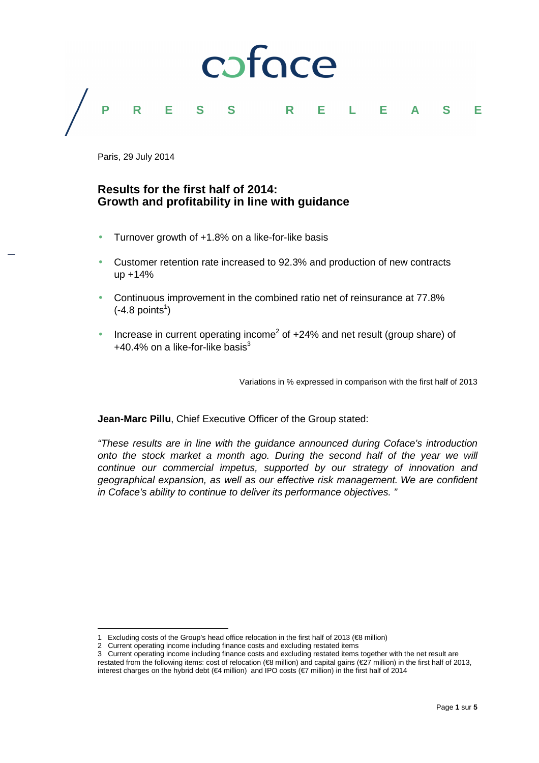

## **P R E S S R E L E A S E**

Paris, 29 July 2014

 $\overline{a}$ 

#### **Results for the first half of 2014: Growth and profitability in line with guidance**

- Turnover growth of +1.8% on a like-for-like basis
- Customer retention rate increased to 92.3% and production of new contracts up +14%
- Continuous improvement in the combined ratio net of reinsurance at 77.8%  $(-4.8 \text{ points}^1)$
- Increase in current operating income<sup>2</sup> of  $+24%$  and net result (group share) of  $+40.4\%$  on a like-for-like basis<sup>3</sup>

Variations in % expressed in comparison with the first half of 2013

**Jean-Marc Pillu**, Chief Executive Officer of the Group stated:

"These results are in line with the guidance announced during Coface's introduction onto the stock market a month ago. During the second half of the year we will continue our commercial impetus, supported by our strategy of innovation and geographical expansion, as well as our effective risk management. We are confident in Coface's ability to continue to deliver its performance objectives. "

<sup>1</sup> Excluding costs of the Group's head office relocation in the first half of 2013 (€8 million)

<sup>2</sup> Current operating income including finance costs and excluding restated items

<sup>3</sup> Current operating income including finance costs and excluding restated items together with the net result are restated from the following items: cost of relocation (€8 million) and capital gains (€27 million) in the first half of 2013, interest charges on the hybrid debt (€4 million) and IPO costs (€7 million) in the first half of 2014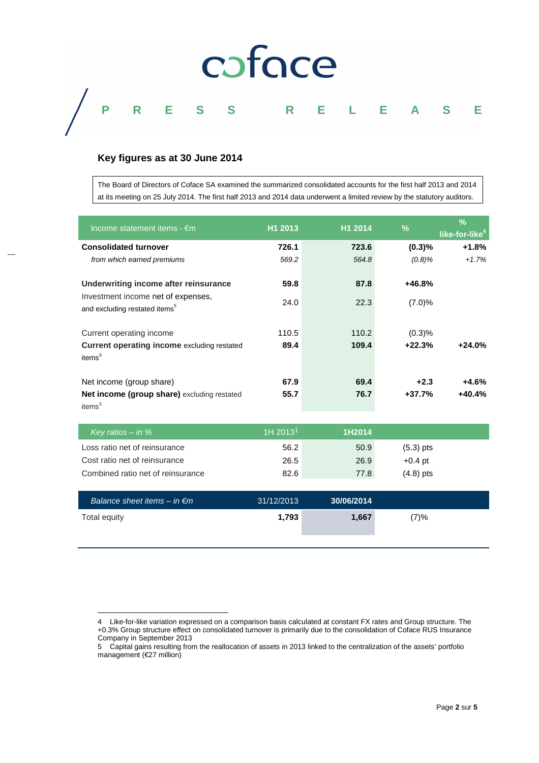# coface

### **P R E S S R E L E A S E**

#### **Key figures as at 30 June 2014**

l

The Board of Directors of Coface SA examined the summarized consolidated accounts for the first half 2013 and 2014 at its meeting on 25 July 2014. The first half 2013 and 2014 data underwent a limited review by the statutory auditors.

| Income statement items - €m                                                     | H1 2013                | H1 2014    | $\%$        | $\frac{9}{6}$<br>like-for-like <sup>4</sup> |
|---------------------------------------------------------------------------------|------------------------|------------|-------------|---------------------------------------------|
| <b>Consolidated turnover</b>                                                    | 726.1                  | 723.6      | (0.3)%      | $+1.8%$                                     |
| from which earned premiums                                                      | 569.2                  | 564.8      | (0.8)%      | $+1.7%$                                     |
| Underwriting income after reinsurance                                           | 59.8                   | 87.8       | $+46.8%$    |                                             |
| Investment income net of expenses,<br>and excluding restated items <sup>5</sup> | 24.0                   | 22.3       | (7.0)%      |                                             |
| Current operating income                                                        | 110.5                  | 110.2      | (0.3)%      |                                             |
| <b>Current operating income excluding restated</b><br>items $3$                 | 89.4                   | 109.4      | $+22.3%$    | $+24.0%$                                    |
| Net income (group share)                                                        | 67.9                   | 69.4       | $+2.3$      | $+4.6%$                                     |
| Net income (group share) excluding restated<br>items <sup>3</sup>               | 55.7                   | 76.7       | $+37.7%$    | $+40.4%$                                    |
| Key ratios $-$ in %                                                             | $1H$ 2013 <sup>1</sup> | 1H2014     |             |                                             |
| Loss ratio net of reinsurance                                                   | 56.2                   | 50.9       | $(5.3)$ pts |                                             |
| Cost ratio net of reinsurance                                                   | 26.5                   | 26.9       | $+0.4$ pt   |                                             |
| Combined ratio net of reinsurance                                               | 82.6                   | 77.8       | $(4.8)$ pts |                                             |
| Balance sheet items $-$ in $\epsilon$ m                                         | 31/12/2013             | 30/06/2014 |             |                                             |
| <b>Total equity</b>                                                             | 1,793                  | 1,667      | (7)%        |                                             |

<sup>4</sup> Like-for-like variation expressed on a comparison basis calculated at constant FX rates and Group structure. The +0.3% Group structure effect on consolidated turnover is primarily due to the consolidation of Coface RUS Insurance Company in September 2013

<sup>5</sup> Capital gains resulting from the reallocation of assets in 2013 linked to the centralization of the assets' portfolio management (€27 million)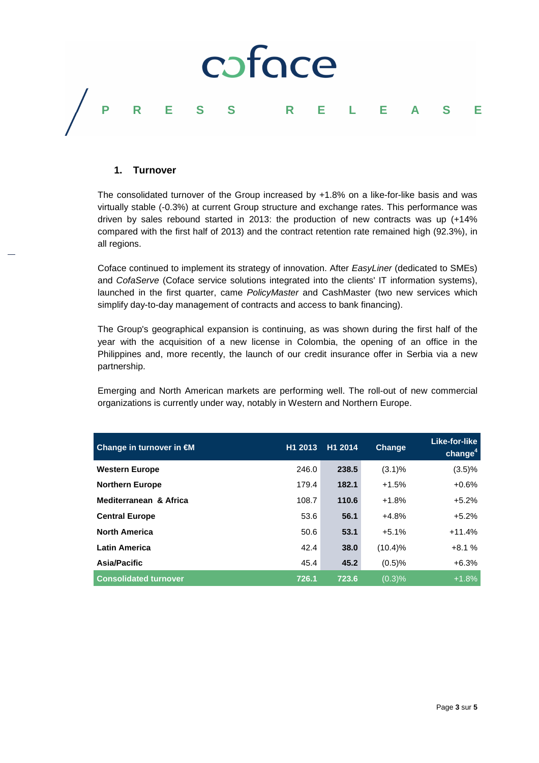

#### **1. Turnover**

The consolidated turnover of the Group increased by +1.8% on a like-for-like basis and was virtually stable (-0.3%) at current Group structure and exchange rates. This performance was driven by sales rebound started in 2013: the production of new contracts was up (+14% compared with the first half of 2013) and the contract retention rate remained high (92.3%), in all regions.

Coface continued to implement its strategy of innovation. After EasyLiner (dedicated to SMEs) and CofaServe (Coface service solutions integrated into the clients' IT information systems), launched in the first quarter, came PolicyMaster and CashMaster (two new services which simplify day-to-day management of contracts and access to bank financing).

The Group's geographical expansion is continuing, as was shown during the first half of the year with the acquisition of a new license in Colombia, the opening of an office in the Philippines and, more recently, the launch of our credit insurance offer in Serbia via a new partnership.

Emerging and North American markets are performing well. The roll-out of new commercial organizations is currently under way, notably in Western and Northern Europe.

| Change in turnover in $\notin M$ | H <sub>1</sub> 2013 | H1 2014 | <b>Change</b> | Like-for-like<br>change $4$ |
|----------------------------------|---------------------|---------|---------------|-----------------------------|
| <b>Western Europe</b>            | 246.0               | 238.5   | $(3.1)\%$     | $(3.5)\%$                   |
| <b>Northern Europe</b>           | 179.4               | 182.1   | $+1.5%$       | $+0.6%$                     |
| Mediterranean & Africa           | 108.7               | 110.6   | $+1.8%$       | $+5.2%$                     |
| <b>Central Europe</b>            | 53.6                | 56.1    | $+4.8%$       | $+5.2%$                     |
| <b>North America</b>             | 50.6                | 53.1    | $+5.1%$       | $+11.4%$                    |
| <b>Latin America</b>             | 42.4                | 38.0    | $(10.4)\%$    | $+8.1%$                     |
| Asia/Pacific                     | 45.4                | 45.2    | (0.5)%        | $+6.3%$                     |
| <b>Consolidated turnover</b>     | 726.1               | 723.6   | (0.3)%        | $+1.8%$                     |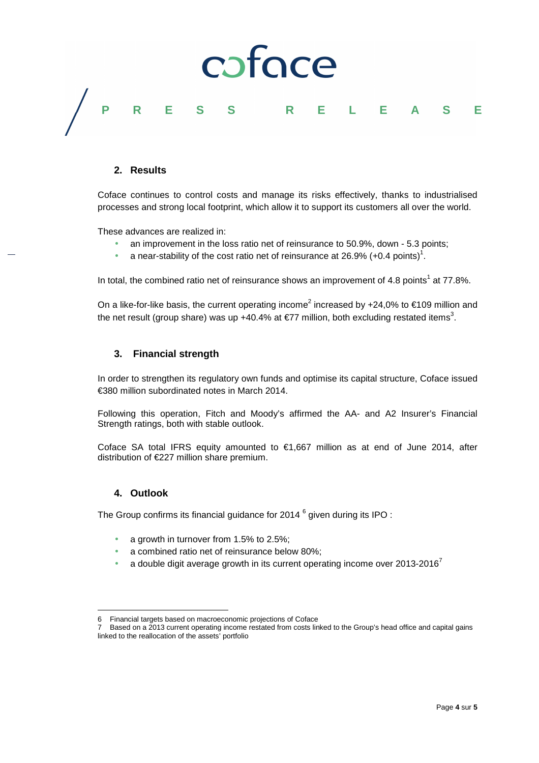

#### **2. Results**

Coface continues to control costs and manage its risks effectively, thanks to industrialised processes and strong local footprint, which allow it to support its customers all over the world.

These advances are realized in:

- an improvement in the loss ratio net of reinsurance to 50.9%, down 5.3 points;
- a near-stability of the cost ratio net of reinsurance at 26.9% (+0.4 points)<sup>1</sup>.

In total, the combined ratio net of reinsurance shows an improvement of 4.8 points<sup>1</sup> at 77.8%.

On a like-for-like basis, the current operating income<sup>2</sup> increased by +24,0% to  $\epsilon$ 109 million and the net result (group share) was up +40.4% at €77 million, both excluding restated items<sup>3</sup>.

#### **3. Financial strength**

In order to strengthen its regulatory own funds and optimise its capital structure, Coface issued €380 million subordinated notes in March 2014.

Following this operation, Fitch and Moody's affirmed the AA- and A2 Insurer's Financial Strength ratings, both with stable outlook.

Coface SA total IFRS equity amounted to  $\epsilon$ 1,667 million as at end of June 2014, after distribution of €227 million share premium.

#### **4. Outlook**

l

The Group confirms its financial guidance for 2014  $^6$  given during its IPO :

- a growth in turnover from 1.5% to 2.5%;
- a combined ratio net of reinsurance below 80%;
- a double digit average growth in its current operating income over 2013-2016<sup>7</sup>

<sup>6</sup> Financial targets based on macroeconomic projections of Coface

<sup>7</sup> Based on a 2013 current operating income restated from costs linked to the Group's head office and capital gains linked to the reallocation of the assets' portfolio